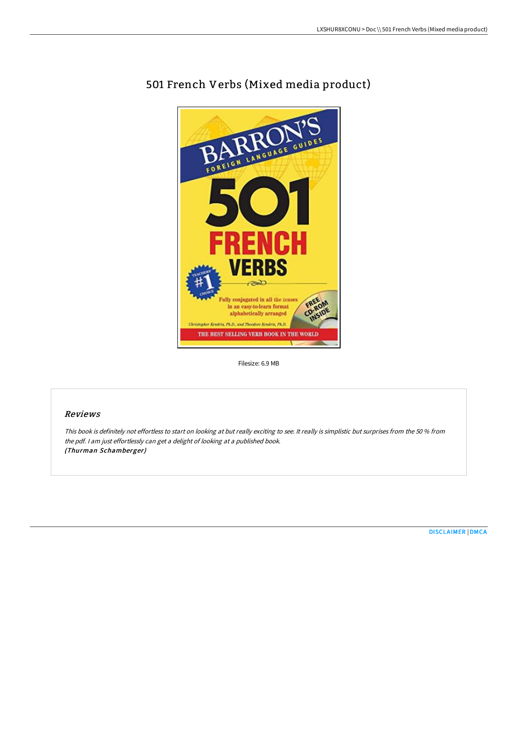

# 501 French Verbs (Mixed media product)

Filesize: 6.9 MB

## Reviews

This book is definitely not effortless to start on looking at but really exciting to see. It really is simplistic but surprises from the <sup>50</sup> % from the pdf. <sup>I</sup> am just effortlessly can get <sup>a</sup> delight of looking at <sup>a</sup> published book. (Thurman Schamberger)

[DISCLAIMER](http://albedo.media/disclaimer.html) | [DMCA](http://albedo.media/dmca.html)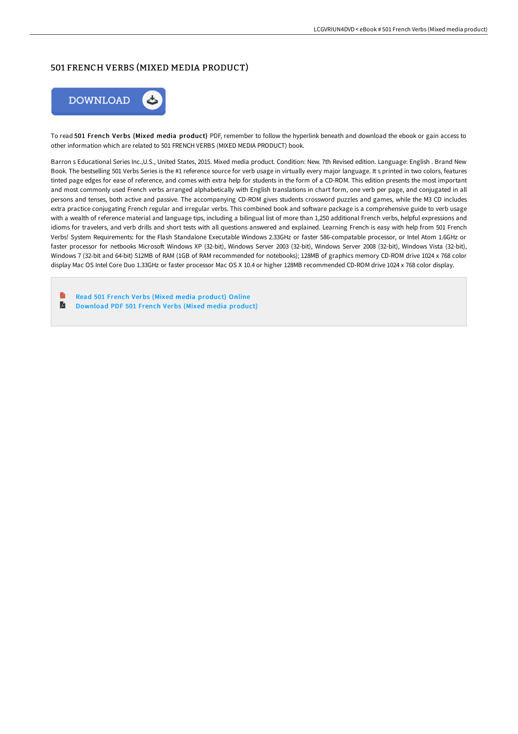### 501 FRENCH VERBS (MIXED MEDIA PRODUCT)



To read 501 French Verbs (Mixed media product) PDF, remember to follow the hyperlink beneath and download the ebook or gain access to other information which are related to 501 FRENCH VERBS (MIXED MEDIA PRODUCT) book.

Barron s Educational Series Inc.,U.S., United States, 2015. Mixed media product. Condition: New. 7th Revised edition. Language: English . Brand New Book. The bestselling 501 Verbs Series is the #1 reference source for verb usage in virtually every major language. It s printed in two colors, features tinted page edges for ease of reference, and comes with extra help for students in the form of a CD-ROM. This edition presents the most important and most commonly used French verbs arranged alphabetically with English translations in chart form, one verb per page, and conjugated in all persons and tenses, both active and passive. The accompanying CD-ROM gives students crossword puzzles and games, while the M3 CD includes extra practice conjugating French regular and irregular verbs. This combined book and software package is a comprehensive guide to verb usage with a wealth of reference material and language tips, including a bilingual list of more than 1,250 additional French verbs, helpful expressions and idioms for travelers, and verb drills and short tests with all questions answered and explained. Learning French is easy with help from 501 French Verbs! System Requirements: for the Flash Standalone Executable Windows 2.33GHz or faster 586-compatable processor, or Intel Atom 1.6GHz or faster processor for netbooks Microsoft Windows XP (32-bit), Windows Server 2003 (32-bit), Windows Server 2008 (32-bit), Windows Vista (32-bit), Windows 7 (32-bit and 64-bit) 512MB of RAM (1GB of RAM recommended for notebooks); 128MB of graphics memory CD-ROM drive 1024 x 768 color display Mac OS Intel Core Duo 1.33GHz or faster processor Mac OS X 10.4 or higher 128MB recommended CD-ROM drive 1024 x 768 color display.

Read 501 French Verbs (Mixed media [product\)](http://albedo.media/501-french-verbs-mixed-media-product.html) Online A [Download](http://albedo.media/501-french-verbs-mixed-media-product.html) PDF 501 French Verbs (Mixed media product)